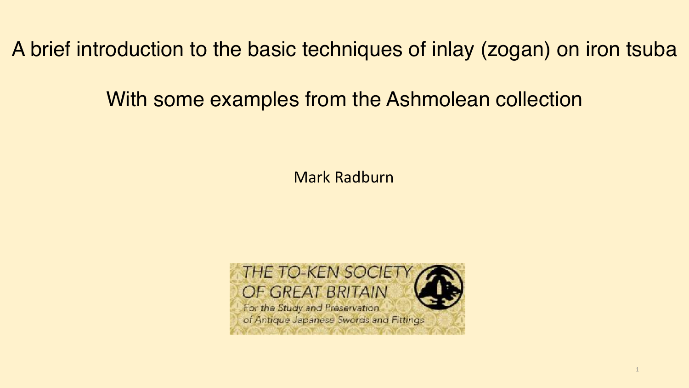A brief introduction to the basic techniques of inlay (zogan) on iron tsuba

# With some examples from the Ashmolean collection

Mark Radburn

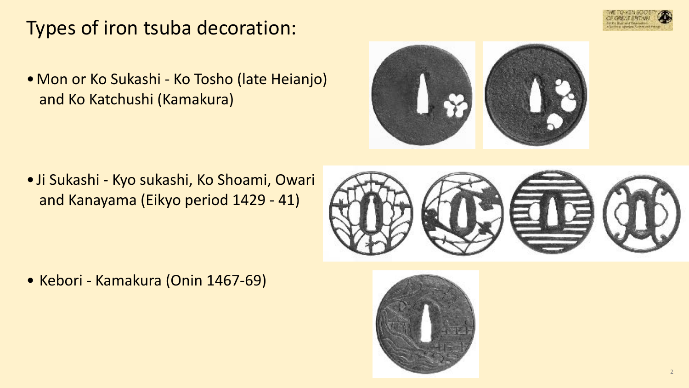# Types of iron tsuba decoration:

•Mon or Ko Sukashi - Ko Tosho (late Heianjo) and Ko Katchushi (Kamakura)



•Ji Sukashi - Kyo sukashi, Ko Shoami, Owari and Kanayama (Eikyo period 1429 - 41)



• Kebori - Kamakura (Onin 1467-69)



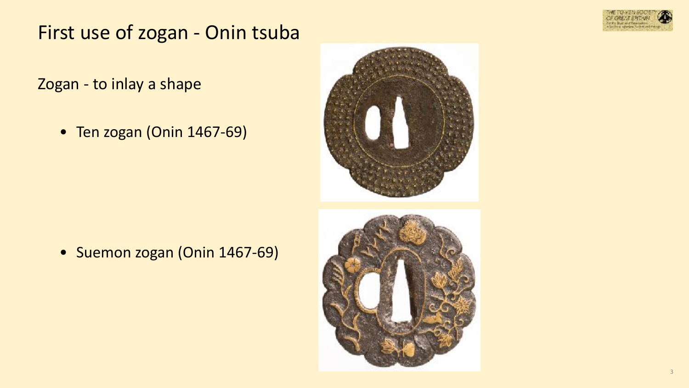

# First use of zogan - Onin tsuba

Zogan - to inlay a shape

• Ten zogan (Onin 1467-69)



• Suemon zogan (Onin 1467-69)

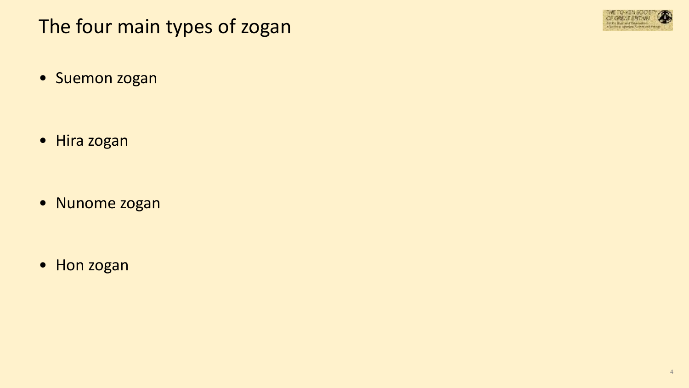# The four main types of zogan



• Suemon zogan

• Hira zogan

• Nunome zogan

• Hon zogan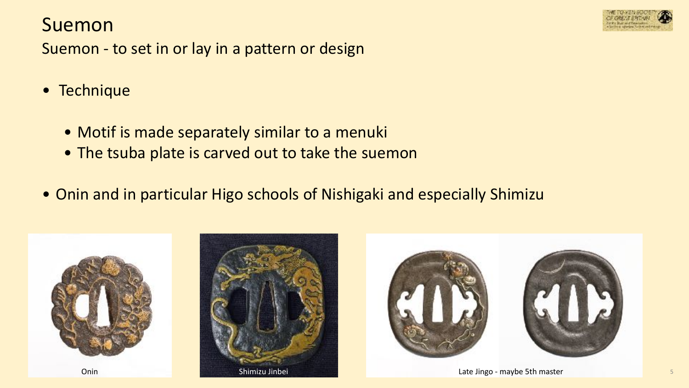### Suemon



Suemon - to set in or lay in a pattern or design

- Technique
	- Motif is made separately similar to a menuki
	- The tsuba plate is carved out to take the suemon
- Onin and in particular Higo schools of Nishigaki and especially Shimizu





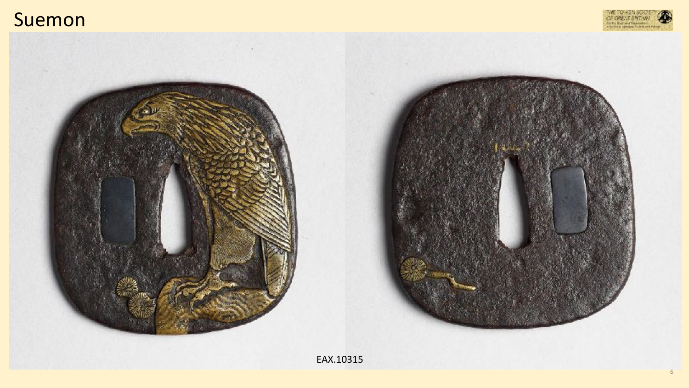



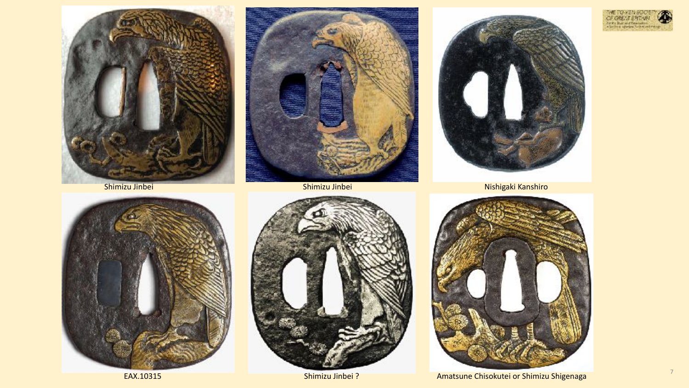











Nishigaki Kanshiro

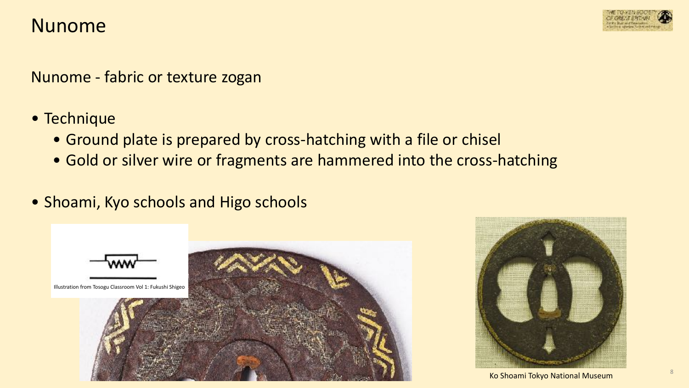

Nunome - fabric or texture zogan

- Technique
	- Ground plate is prepared by cross-hatching with a file or chisel
	- Gold or silver wire or fragments are hammered into the cross-hatching
- Shoami, Kyo schools and Higo schools



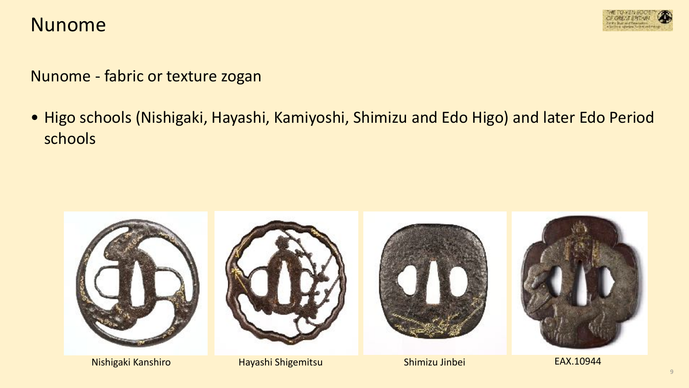

Nunome - fabric or texture zogan

• Higo schools (Nishigaki, Hayashi, Kamiyoshi, Shimizu and Edo Higo) and later Edo Period schools

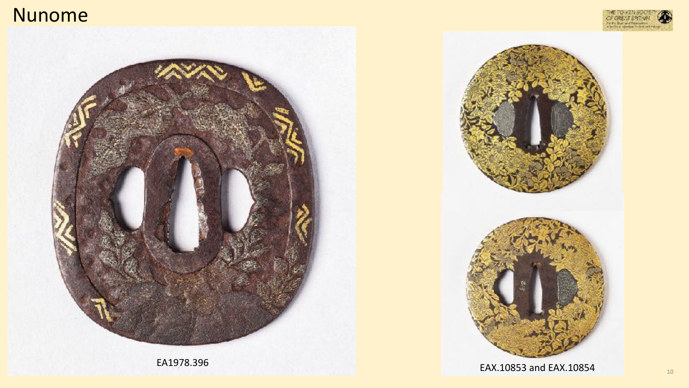

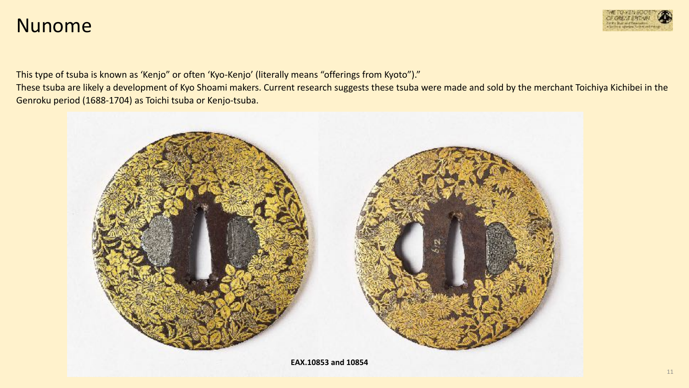

This type of tsuba is known as 'Kenjo" or often 'Kyo-Kenjo' (literally means "offerings from Kyoto")."

These tsuba are likely a development of Kyo Shoami makers. Current research suggests these tsuba were made and sold by the merchant Toichiya Kichibei in the Genroku period (1688-1704) as Toichi tsuba or Kenjo-tsuba.

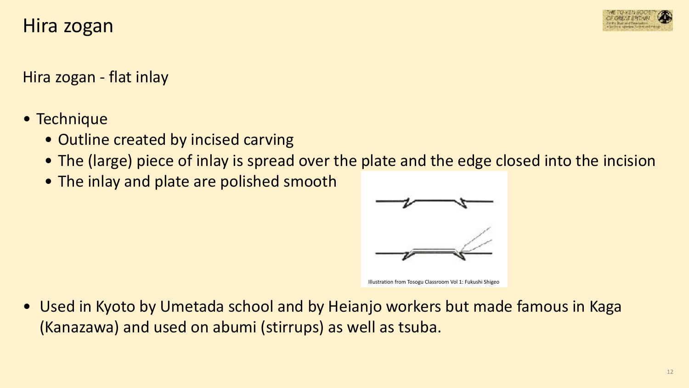## Hira zogan



Hira zogan - flat inlay

- Technique
	- Outline created by incised carving
	- The (large) piece of inlay is spread over the plate and the edge closed into the incision
	- The inlay and plate are polished smooth



Illustration from Tosogu Classroom Vol 1: Fukushi Shigeo

• Used in Kyoto by Umetada school and by Heianjo workers but made famous in Kaga (Kanazawa) and used on abumi (stirrups) as well as tsuba.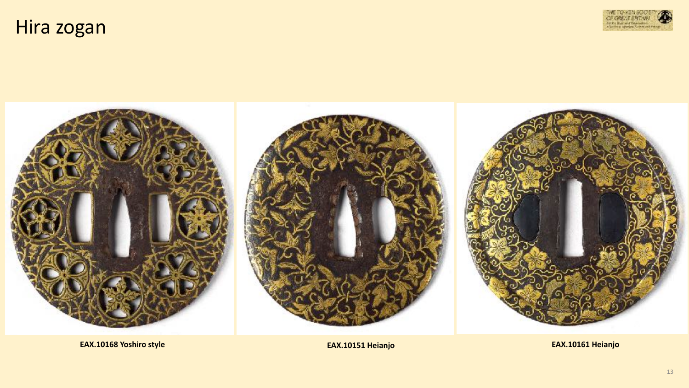Hira zogan





**EAX.10168 Yoshiro style** 

EAX.10151 Heianjo

EAX.10161 Heianjo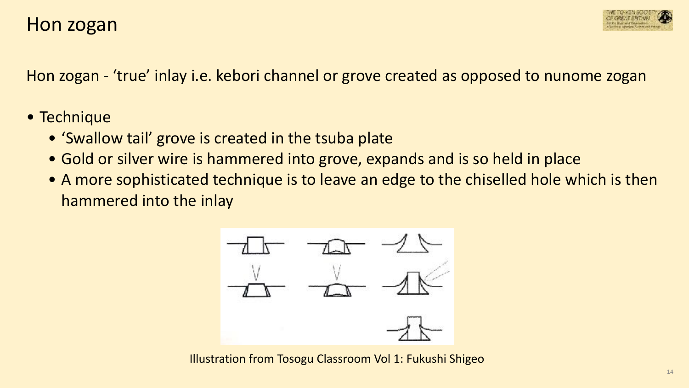

Hon zogan - 'true' inlay i.e. kebori channel or grove created as opposed to nunome zogan

#### • Technique

- 'Swallow tail' grove is created in the tsuba plate
- Gold or silver wire is hammered into grove, expands and is so held in place
- A more sophisticated technique is to leave an edge to the chiselled hole which is then hammered into the inlay



Illustration from Tosogu Classroom Vol 1: Fukushi Shigeo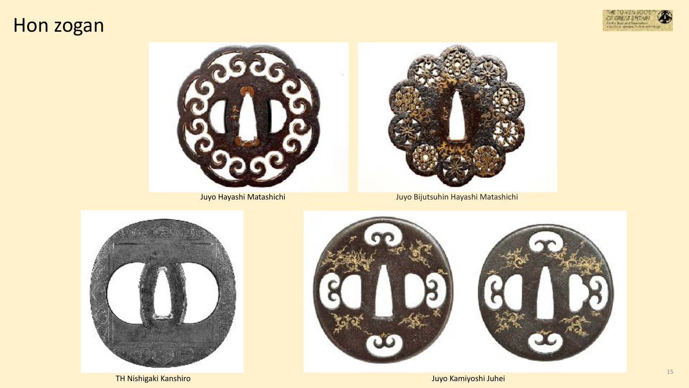## Hon zogan







Juyo Hayashi Matashichi Juyo Bijutsuhin Hayashi Matashichi



TH Nishigaki Kanshiro Juyo Kamiyoshi Juhei